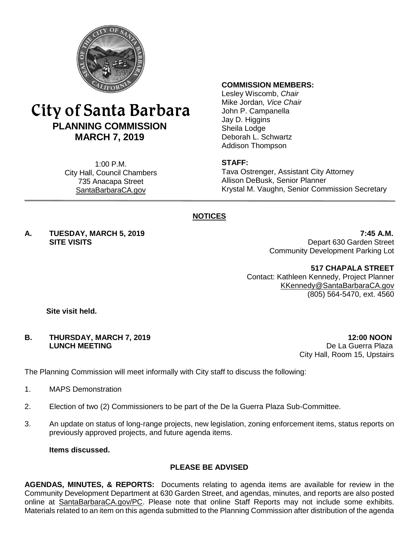

# City of Santa Barbara **PLANNING COMMISSION MARCH 7, 2019**

1:00 P.M. City Hall, Council Chambers 735 Anacapa Street SantaBarbaraCA.gov

#### **COMMISSION MEMBERS:**

Lesley Wiscomb, *Chair* Mike Jordan*, Vice Chair* John P. Campanella Jay D. Higgins Sheila Lodge Deborah L. Schwartz Addison Thompson

#### **STAFF:**

Tava Ostrenger, Assistant City Attorney Allison DeBusk, Senior Planner Krystal M. Vaughn, Senior Commission Secretary

# **NOTICES**

**A. TUESDAY, MARCH 5, 2019 7:45 A.M.**

**SITE VISITS** Depart 630 Garden Street Community Development Parking Lot

**517 CHAPALA STREET**

Contact: Kathleen Kennedy, Project Planner [KKennedy@SantaBarbaraCA.gov](mailto:KKennedy@SantaBarbaraCA.gov) (805) 564-5470, ext. 4560

**Site visit held.**

#### **B. THURSDAY, MARCH 7, 2019 12:00 NOON LUNCH MEETING** De La Guerra Plaza

City Hall, Room 15, Upstairs

The Planning Commission will meet informally with City staff to discuss the following:

- 1. MAPS Demonstration
- 2. Election of two (2) Commissioners to be part of the De la Guerra Plaza Sub-Committee.
- 3. An update on status of long-range projects, new legislation, zoning enforcement items, status reports on previously approved projects, and future agenda items.

**Items discussed.**

## **PLEASE BE ADVISED**

**AGENDAS, MINUTES, & REPORTS:** Documents relating to agenda items are available for review in the Community Development Department at 630 Garden Street, and agendas, minutes, and reports are also posted online at [SantaBarbaraCA.gov/PC.](http://www.santabarbaraca.gov/PC) Please note that online Staff Reports may not include some exhibits. Materials related to an item on this agenda submitted to the Planning Commission after distribution of the agenda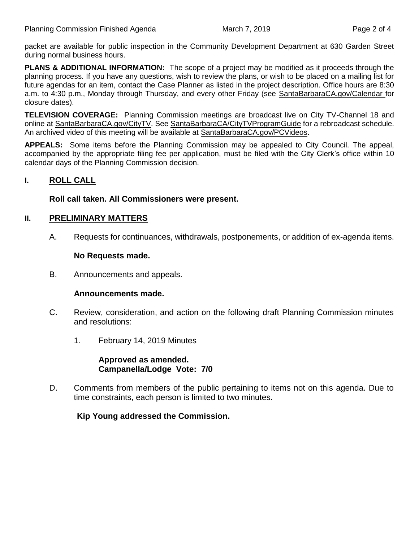packet are available for public inspection in the Community Development Department at 630 Garden Street during normal business hours.

**PLANS & ADDITIONAL INFORMATION:** The scope of a project may be modified as it proceeds through the planning process. If you have any questions, wish to review the plans, or wish to be placed on a mailing list for future agendas for an item, contact the Case Planner as listed in the project description. Office hours are 8:30 a.m. to 4:30 p.m., Monday through Thursday, and every other Friday (see [SantaBarbaraCA.gov/Calendar](http://www.santabarbaraca.gov/cals/default.asp) for closure dates).

**TELEVISION COVERAGE:** Planning Commission meetings are broadcast live on City TV-Channel 18 and online at [SantaBarbaraCA.gov/CityTV.](http://www.santabarbaraca.gov/CityTV) See [SantaBarbaraCA/CityTVProgramGuide](http://www.santabarbaraca.gov/gov/depts/cityadmin/programming.asp) for a rebroadcast schedule. An archived video of this meeting will be available at [SantaBarbaraCA.gov/PCVideos.](http://www.santabarbaraca.gov/PCVideos)

**APPEALS:** Some items before the Planning Commission may be appealed to City Council. The appeal, accompanied by the appropriate filing fee per application, must be filed with the City Clerk's office within 10 calendar days of the Planning Commission decision.

# **I. ROLL CALL**

#### **Roll call taken. All Commissioners were present.**

#### **II. PRELIMINARY MATTERS**

A. Requests for continuances, withdrawals, postponements, or addition of ex-agenda items.

#### **No Requests made.**

B. Announcements and appeals.

#### **Announcements made.**

- C. Review, consideration, and action on the following draft Planning Commission minutes and resolutions:
	- 1. February 14, 2019 Minutes

**Approved as amended. Campanella/Lodge Vote: 7/0**

D. Comments from members of the public pertaining to items not on this agenda. Due to time constraints, each person is limited to two minutes.

**Kip Young addressed the Commission.**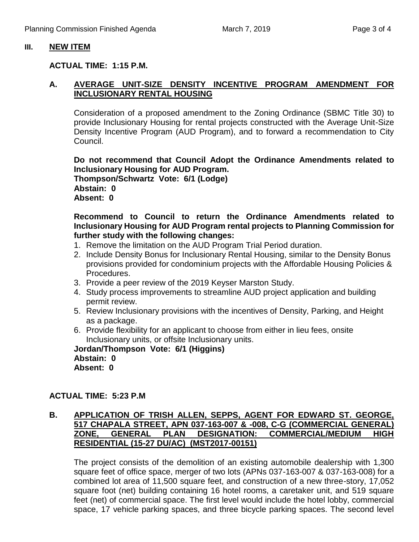#### **III. NEW ITEM**

#### **ACTUAL TIME: 1:15 P.M.**

## **A. AVERAGE UNIT-SIZE DENSITY INCENTIVE PROGRAM AMENDMENT FOR INCLUSIONARY RENTAL HOUSING**

Consideration of a proposed amendment to the Zoning Ordinance (SBMC Title 30) to provide Inclusionary Housing for rental projects constructed with the Average Unit-Size Density Incentive Program (AUD Program), and to forward a recommendation to City Council.

**Do not recommend that Council Adopt the Ordinance Amendments related to Inclusionary Housing for AUD Program. Thompson/Schwartz Vote: 6/1 (Lodge) Abstain: 0 Absent: 0**

**Recommend to Council to return the Ordinance Amendments related to Inclusionary Housing for AUD Program rental projects to Planning Commission for further study with the following changes:**

- 1. Remove the limitation on the AUD Program Trial Period duration.
- 2. Include Density Bonus for Inclusionary Rental Housing, similar to the Density Bonus provisions provided for condominium projects with the Affordable Housing Policies & Procedures.
- 3. Provide a peer review of the 2019 Keyser Marston Study.
- 4. Study process improvements to streamline AUD project application and building permit review.
- 5. Review Inclusionary provisions with the incentives of Density, Parking, and Height as a package.
- 6. Provide flexibility for an applicant to choose from either in lieu fees, onsite Inclusionary units, or offsite Inclusionary units.

**Jordan/Thompson Vote: 6/1 (Higgins) Abstain: 0 Absent: 0**

## **ACTUAL TIME: 5:23 P.M**

## **B. APPLICATION OF TRISH ALLEN, SEPPS, AGENT FOR EDWARD ST. GEORGE, 517 CHAPALA STREET, APN 037-163-007 & -008, C-G (COMMERCIAL GENERAL) ZONE, GENERAL PLAN DESIGNATION: COMMERCIAL/MEDIUM HIGH RESIDENTIAL (15-27 DU/AC) (MST2017-00151)**

The project consists of the demolition of an existing automobile dealership with 1,300 square feet of office space, merger of two lots (APNs 037-163-007 & 037-163-008) for a combined lot area of 11,500 square feet, and construction of a new three-story, 17,052 square foot (net) building containing 16 hotel rooms, a caretaker unit, and 519 square feet (net) of commercial space. The first level would include the hotel lobby, commercial space, 17 vehicle parking spaces, and three bicycle parking spaces. The second level